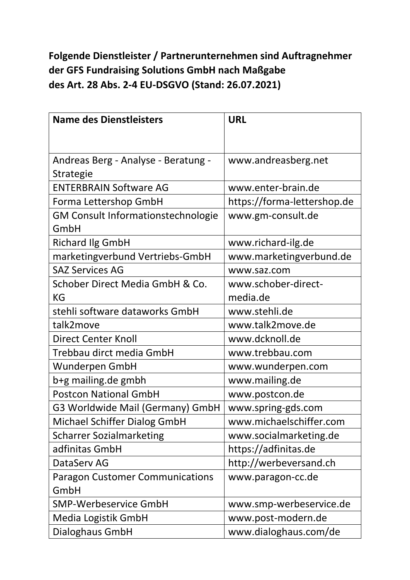## **Folgende Dienstleister / Partnerunternehmen sind Auftragnehmer der GFS Fundraising Solutions GmbH nach Maßgabe des Art. 28 Abs. 2-4 EU-DSGVO (Stand: 26.07.2021)**

| <b>Name des Dienstleisters</b>            | <b>URL</b>                  |
|-------------------------------------------|-----------------------------|
|                                           |                             |
|                                           |                             |
| Andreas Berg - Analyse - Beratung -       | www.andreasberg.net         |
| <b>Strategie</b>                          |                             |
| <b>ENTERBRAIN Software AG</b>             | www.enter-brain.de          |
| Forma Lettershop GmbH                     | https://forma-lettershop.de |
| <b>GM Consult Informationstechnologie</b> | www.gm-consult.de           |
| GmbH                                      |                             |
| <b>Richard Ilg GmbH</b>                   | www.richard-ilg.de          |
| marketingverbund Vertriebs-GmbH           | www.marketingverbund.de     |
| <b>SAZ Services AG</b>                    | www.saz.com                 |
| Schober Direct Media GmbH & Co.           | www.schober-direct-         |
| KG                                        | media.de                    |
| stehli software dataworks GmbH            | www.stehli.de               |
| talk2move                                 | www.talk2move.de            |
| <b>Direct Center Knoll</b>                | www.dcknoll.de              |
| Trebbau dirct media GmbH                  | www.trebbau.com             |
| Wunderpen GmbH                            | www.wunderpen.com           |
| b+g mailing.de gmbh                       | www.mailing.de              |
| <b>Postcon National GmbH</b>              | www.postcon.de              |
| G3 Worldwide Mail (Germany) GmbH          | www.spring-gds.com          |
| Michael Schiffer Dialog GmbH              | www.michaelschiffer.com     |
| <b>Scharrer Sozialmarketing</b>           | www.socialmarketing.de      |
| adfinitas GmbH                            | https://adfinitas.de        |
| DataServ AG                               | http://werbeversand.ch      |
| <b>Paragon Customer Communications</b>    | www.paragon-cc.de           |
| GmbH                                      |                             |
| <b>SMP-Werbeservice GmbH</b>              | www.smp-werbeservice.de     |
| Media Logistik GmbH                       | www.post-modern.de          |
| Dialoghaus GmbH                           | www.dialoghaus.com/de       |